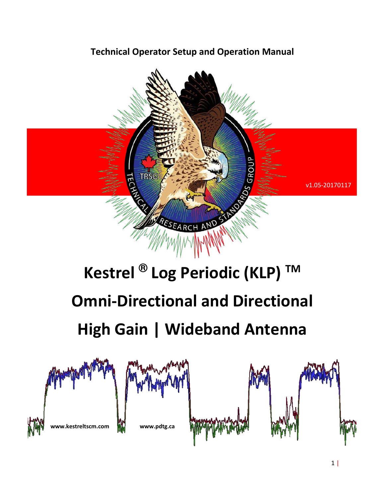## **Technical Operator Setup and Operation Manual**



# **Kestrel ® Log Periodic (KLP) TM Omni-Directional and Directional High Gain | Wideband Antenna**

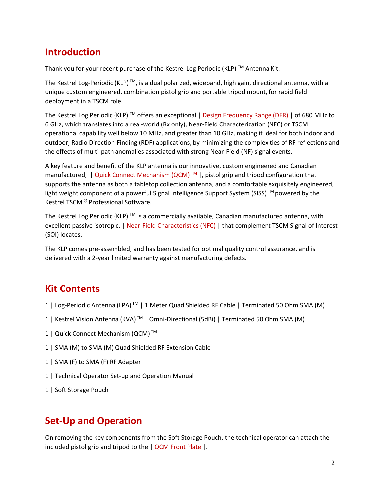### **Introduction**

Thank you for your recent purchase of the Kestrel Log Periodic (KLP)  $TM$  Antenna Kit.

The Kestrel Log-Periodic (KLP)<sup>™</sup>, is a dual polarized, wideband, high gain, directional antenna, with a unique custom engineered, combination pistol grip and portable tripod mount, for rapid field deployment in a TSCM role.

The Kestrel Log Periodic (KLP)  $\text{TM}$  offers an exceptional | Design Frequency Range (DFR) | of 680 MHz to 6 GHz, which translates into a real-world (Rx only), Near-Field Characterization (NFC) or TSCM operational capability well below 10 MHz, and greater than 10 GHz, making it ideal for both indoor and outdoor, Radio Direction-Finding (RDF) applications, by minimizing the complexities of RF reflections and the effects of multi-path anomalies associated with strong Near-Field (NF) signal events.

A key feature and benefit of the KLP antenna is our innovative, custom engineered and Canadian manufactured, | Quick Connect Mechanism (QCM)<sup>™</sup> |, pistol grip and tripod configuration that supports the antenna as both a tabletop collection antenna, and a comfortable exquisitely engineered, light weight component of a powerful Signal Intelligence Support System (SISS) ™ powered by the Kestrel TSCM ® Professional Software.

The Kestrel Log Periodic (KLP)<sup>™</sup> is a commercially available, Canadian manufactured antenna, with excellent passive isotropic, | Near-Field Characteristics (NFC) | that complement TSCM Signal of Interest (SOI) locates.

The KLP comes pre-assembled, and has been tested for optimal quality control assurance, and is delivered with a 2-year limited warranty against manufacturing defects.

# **Kit Contents**

- 1 | Log-Periodic Antenna (LPA) TM | 1 Meter Quad Shielded RF Cable | Terminated 50 Ohm SMA (M)
- 1 | Kestrel Vision Antenna (KVA) TM | Omni-Directional (5dBi) | Terminated 50 Ohm SMA (M)
- 1 | Quick Connect Mechanism (QCM)<sup>™</sup>
- 1 | SMA (M) to SMA (M) Quad Shielded RF Extension Cable
- 1 | SMA (F) to SMA (F) RF Adapter
- 1 | Technical Operator Set-up and Operation Manual
- 1 | Soft Storage Pouch

# **Set-Up and Operation**

On removing the key components from the Soft Storage Pouch, the technical operator can attach the included pistol grip and tripod to the | QCM Front Plate |.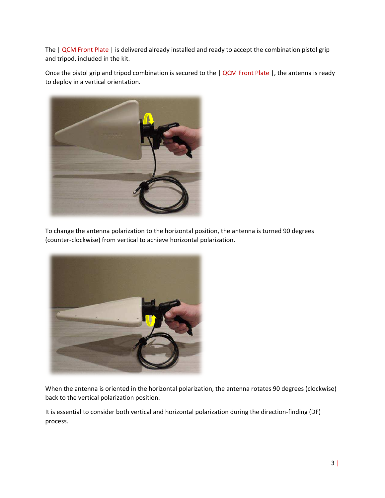The | QCM Front Plate | is delivered already installed and ready to accept the combination pistol grip and tripod, included in the kit.

Once the pistol grip and tripod combination is secured to the | QCM Front Plate |, the antenna is ready to deploy in a vertical orientation.



To change the antenna polarization to the horizontal position, the antenna is turned 90 degrees (counter-clockwise) from vertical to achieve horizontal polarization.



When the antenna is oriented in the horizontal polarization, the antenna rotates 90 degrees (clockwise) back to the vertical polarization position.

It is essential to consider both vertical and horizontal polarization during the direction-finding (DF) process.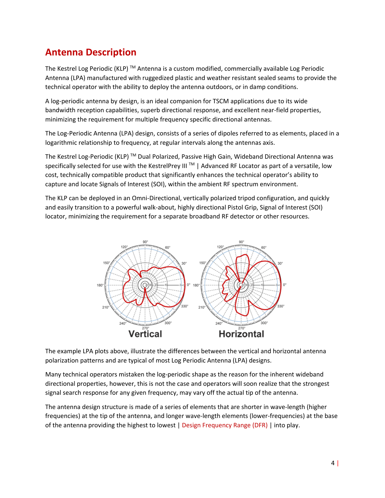# **Antenna Description**

The Kestrel Log Periodic (KLP)  $TM$  Antenna is a custom modified, commercially available Log Periodic Antenna (LPA) manufactured with ruggedized plastic and weather resistant sealed seams to provide the technical operator with the ability to deploy the antenna outdoors, or in damp conditions.

A log-periodic antenna by design, is an ideal companion for TSCM applications due to its wide bandwidth reception capabilities, superb directional response, and excellent near-field properties, minimizing the requirement for multiple frequency specific directional antennas.

The Log-Periodic Antenna (LPA) design, consists of a series of dipoles referred to as elements, placed in a logarithmic relationship to frequency, at regular intervals along the antennas axis.

The Kestrel Log-Periodic (KLP)<sup>™</sup> Dual Polarized, Passive High Gain, Wideband Directional Antenna was specifically selected for use with the KestrelPrey III<sup>M</sup> | Advanced RF Locator as part of a versatile, low cost, technically compatible product that significantly enhances the technical operator's ability to capture and locate Signals of Interest (SOI), within the ambient RF spectrum environment.

The KLP can be deployed in an Omni-Directional, vertically polarized tripod configuration, and quickly and easily transition to a powerful walk-about, highly directional Pistol Grip, Signal of Interest (SOI) locator, minimizing the requirement for a separate broadband RF detector or other resources.



The example LPA plots above, illustrate the differences between the vertical and horizontal antenna polarization patterns and are typical of most Log Periodic Antenna (LPA) designs.

Many technical operators mistaken the log-periodic shape as the reason for the inherent wideband directional properties, however, this is not the case and operators will soon realize that the strongest signal search response for any given frequency, may vary off the actual tip of the antenna.

The antenna design structure is made of a series of elements that are shorter in wave-length (higher frequencies) at the tip of the antenna, and longer wave-length elements (lower-frequencies) at the base of the antenna providing the highest to lowest | Design Frequency Range (DFR) | into play.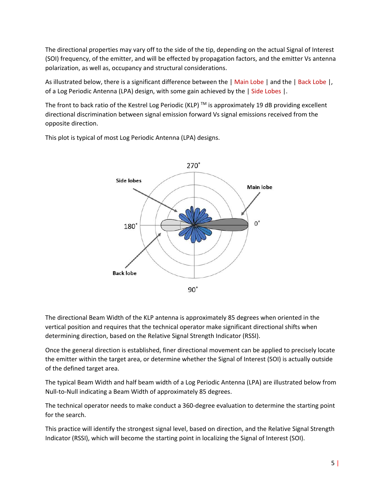The directional properties may vary off to the side of the tip, depending on the actual Signal of Interest (SOI) frequency, of the emitter, and will be effected by propagation factors, and the emitter Vs antenna polarization, as well as, occupancy and structural considerations.

As illustrated below, there is a significant difference between the | Main Lobe | and the | Back Lobe |, of a Log Periodic Antenna (LPA) design, with some gain achieved by the | Side Lobes |.

The front to back ratio of the Kestrel Log Periodic (KLP)  $\text{TM}$  is approximately 19 dB providing excellent directional discrimination between signal emission forward Vs signal emissions received from the opposite direction.



This plot is typical of most Log Periodic Antenna (LPA) designs.

The directional Beam Width of the KLP antenna is approximately 85 degrees when oriented in the vertical position and requires that the technical operator make significant directional shifts when determining direction, based on the Relative Signal Strength Indicator (RSSI).

Once the general direction is established, finer directional movement can be applied to precisely locate the emitter within the target area, or determine whether the Signal of Interest (SOI) is actually outside of the defined target area.

The typical Beam Width and half beam width of a Log Periodic Antenna (LPA) are illustrated below from Null-to-Null indicating a Beam Width of approximately 85 degrees.

The technical operator needs to make conduct a 360-degree evaluation to determine the starting point for the search.

This practice will identify the strongest signal level, based on direction, and the Relative Signal Strength Indicator (RSSI), which will become the starting point in localizing the Signal of Interest (SOI).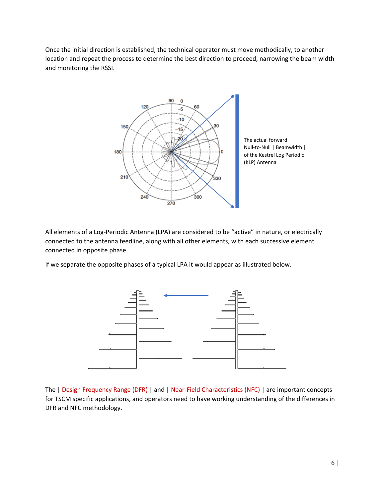Once the initial direction is established, the technical operator must move methodically, to another location and repeat the process to determine the best direction to proceed, narrowing the beam width and monitoring the RSSI.



All elements of a Log-Periodic Antenna (LPA) are considered to be "active" in nature, or electrically connected to the antenna feedline, along with all other elements, with each successive element connected in opposite phase.

If we separate the opposite phases of a typical LPA it would appear as illustrated below.



The | Design Frequency Range (DFR) | and | Near-Field Characteristics (NFC) | are important concepts for TSCM specific applications, and operators need to have working understanding of the differences in DFR and NFC methodology.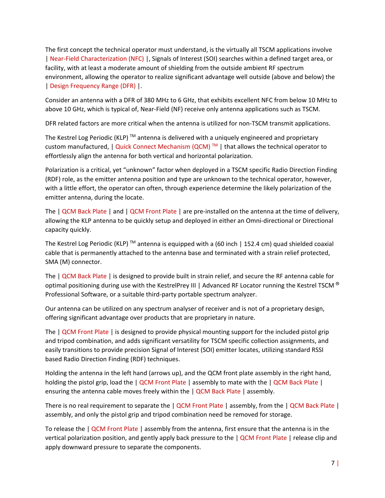The first concept the technical operator must understand, is the virtually all TSCM applications involve | Near-Field Characterization (NFC) |, Signals of Interest (SOI) searches within a defined target area, or facility, with at least a moderate amount of shielding from the outside ambient RF spectrum environment, allowing the operator to realize significant advantage well outside (above and below) the | Design Frequency Range (DFR) |.

Consider an antenna with a DFR of 380 MHz to 6 GHz, that exhibits excellent NFC from below 10 MHz to above 10 GHz, which is typical of, Near-Field (NF) receive only antenna applications such as TSCM.

DFR related factors are more critical when the antenna is utilized for non-TSCM transmit applications.

The Kestrel Log Periodic (KLP)<sup>™</sup> antenna is delivered with a uniquely engineered and proprietary custom manufactured,  $\vert$  Quick Connect Mechanism (QCM)  $\mathbb{M}$   $\vert$  that allows the technical operator to effortlessly align the antenna for both vertical and horizontal polarization.

Polarization is a critical, yet "unknown" factor when deployed in a TSCM specific Radio Direction Finding (RDF) role, as the emitter antenna position and type are unknown to the technical operator, however, with a little effort, the operator can often, through experience determine the likely polarization of the emitter antenna, during the locate.

The | QCM Back Plate | and | QCM Front Plate | are pre-installed on the antenna at the time of delivery, allowing the KLP antenna to be quickly setup and deployed in either an Omni-directional or Directional capacity quickly.

The Kestrel Log Periodic (KLP) <sup>TM</sup> antenna is equipped with a (60 inch | 152.4 cm) quad shielded coaxial cable that is permanently attached to the antenna base and terminated with a strain relief protected, SMA (M) connector.

The | QCM Back Plate | is designed to provide built in strain relief, and secure the RF antenna cable for optimal positioning during use with the KestrelPrey III | Advanced RF Locator running the Kestrel TSCM  $^{\circ}$ Professional Software, or a suitable third-party portable spectrum analyzer.

Our antenna can be utilized on any spectrum analyser of receiver and is not of a proprietary design, offering significant advantage over products that are proprietary in nature.

The | QCM Front Plate | is designed to provide physical mounting support for the included pistol grip and tripod combination, and adds significant versatility for TSCM specific collection assignments, and easily transitions to provide precision Signal of Interest (SOI) emitter locates, utilizing standard RSSI based Radio Direction Finding (RDF) techniques.

Holding the antenna in the left hand (arrows up), and the QCM front plate assembly in the right hand, holding the pistol grip, load the | QCM Front Plate | assembly to mate with the | QCM Back Plate | ensuring the antenna cable moves freely within the | QCM Back Plate | assembly.

There is no real requirement to separate the | QCM Front Plate | assembly, from the | QCM Back Plate | assembly, and only the pistol grip and tripod combination need be removed for storage.

To release the | QCM Front Plate | assembly from the antenna, first ensure that the antenna is in the vertical polarization position, and gently apply back pressure to the | QCM Front Plate | release clip and apply downward pressure to separate the components.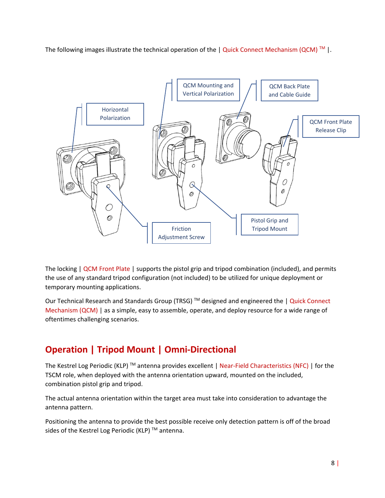The following images illustrate the technical operation of the  $|$  Quick Connect Mechanism (QCM)<sup>TM</sup>  $|$ .



The locking | QCM Front Plate | supports the pistol grip and tripod combination (included), and permits the use of any standard tripod configuration (not included) to be utilized for unique deployment or temporary mounting applications.

Our Technical Research and Standards Group (TRSG)<sup>™</sup> designed and engineered the | Quick Connect Mechanism (QCM) | as a simple, easy to assemble, operate, and deploy resource for a wide range of oftentimes challenging scenarios.

# **Operation | Tripod Mount | Omni-Directional**

The Kestrel Log Periodic (KLP)<sup>TM</sup> antenna provides excellent | Near-Field Characteristics (NFC) | for the TSCM role, when deployed with the antenna orientation upward, mounted on the included, combination pistol grip and tripod.

The actual antenna orientation within the target area must take into consideration to advantage the antenna pattern.

Positioning the antenna to provide the best possible receive only detection pattern is off of the broad sides of the Kestrel Log Periodic (KLP)<sup>™</sup> antenna.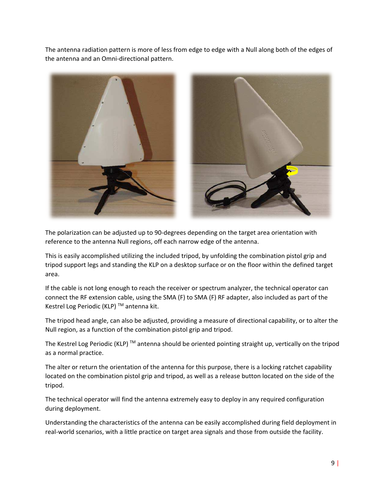The antenna radiation pattern is more of less from edge to edge with a Null along both of the edges of the antenna and an Omni-directional pattern.



The polarization can be adjusted up to 90-degrees depending on the target area orientation with reference to the antenna Null regions, off each narrow edge of the antenna.

This is easily accomplished utilizing the included tripod, by unfolding the combination pistol grip and tripod support legs and standing the KLP on a desktop surface or on the floor within the defined target area.

If the cable is not long enough to reach the receiver or spectrum analyzer, the technical operator can connect the RF extension cable, using the SMA (F) to SMA (F) RF adapter, also included as part of the Kestrel Log Periodic (KLP)<sup>™</sup> antenna kit.

The tripod head angle, can also be adjusted, providing a measure of directional capability, or to alter the Null region, as a function of the combination pistol grip and tripod.

The Kestrel Log Periodic (KLP)<sup>™</sup> antenna should be oriented pointing straight up, vertically on the tripod as a normal practice.

The alter or return the orientation of the antenna for this purpose, there is a locking ratchet capability located on the combination pistol grip and tripod, as well as a release button located on the side of the tripod.

The technical operator will find the antenna extremely easy to deploy in any required configuration during deployment.

Understanding the characteristics of the antenna can be easily accomplished during field deployment in real-world scenarios, with a little practice on target area signals and those from outside the facility.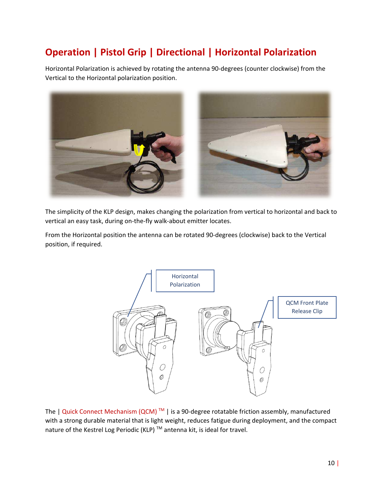# **Operation | Pistol Grip | Directional | Horizontal Polarization**

Horizontal Polarization is achieved by rotating the antenna 90-degrees (counter clockwise) from the Vertical to the Horizontal polarization position.



The simplicity of the KLP design, makes changing the polarization from vertical to horizontal and back to vertical an easy task, during on-the-fly walk-about emitter locates.

From the Horizontal position the antenna can be rotated 90-degrees (clockwise) back to the Vertical position, if required.



The  $|$  Quick Connect Mechanism (QCM)<sup>TM</sup> | is a 90-degree rotatable friction assembly, manufactured with a strong durable material that is light weight, reduces fatigue during deployment, and the compact nature of the Kestrel Log Periodic (KLP)<sup>™</sup> antenna kit, is ideal for travel.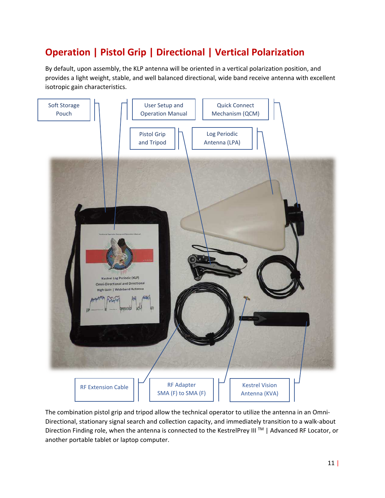# **Operation | Pistol Grip | Directional | Vertical Polarization**

By default, upon assembly, the KLP antenna will be oriented in a vertical polarization position, and provides a light weight, stable, and well balanced directional, wide band receive antenna with excellent isotropic gain characteristics.



The combination pistol grip and tripod allow the technical operator to utilize the antenna in an Omni-Directional, stationary signal search and collection capacity, and immediately transition to a walk-about Direction Finding role, when the antenna is connected to the KestrelPrey III<sup>™</sup> | Advanced RF Locator, or another portable tablet or laptop computer.